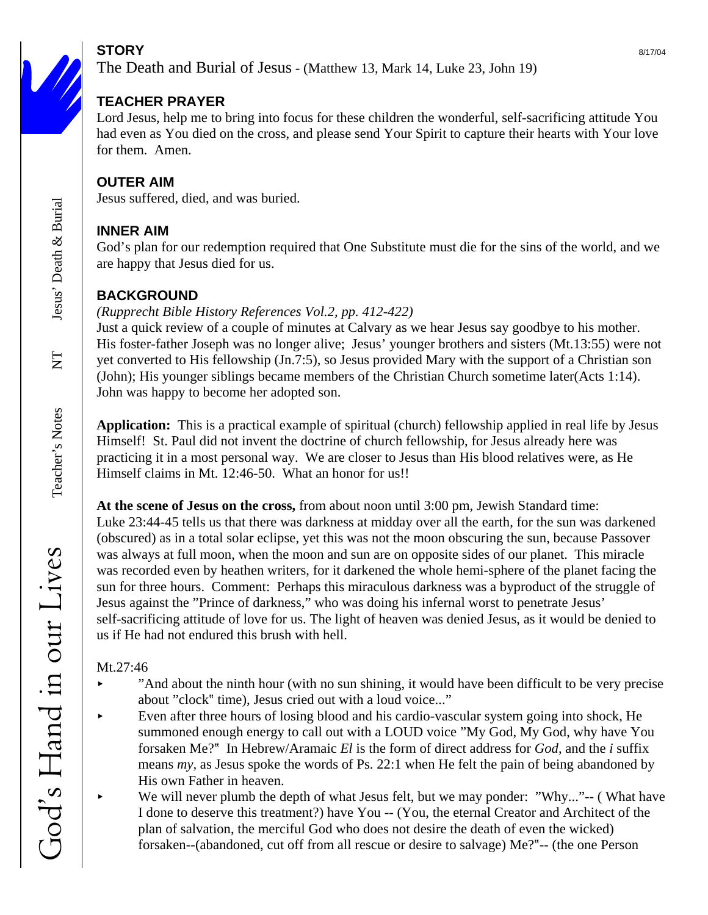# **STORY** 8/17/04

The Death and Burial of Jesus - (Matthew 13, Mark 14, Luke 23, John 19)

## **TEACHER PRAYER**

Lord Jesus, help me to bring into focus for these children the wonderful, self-sacrificing attitude You had even as You died on the cross, and please send Your Spirit to capture their hearts with Your love for them. Amen.

## **OUTER AIM**

Jesus suffered, died, and was buried.

## **INNER AIM**

God's plan for our redemption required that One Substitute must die for the sins of the world, and we are happy that Jesus died for us.

## **BACKGROUND**

### *(Rupprecht Bible History References Vol.2, pp. 412-422)*

Just a quick review of a couple of minutes at Calvary as we hear Jesus say goodbye to his mother. His foster-father Joseph was no longer alive; Jesus' younger brothers and sisters (Mt.13:55) were not yet converted to His fellowship (Jn.7:5), so Jesus provided Mary with the support of a Christian son (John); His younger siblings became members of the Christian Church sometime later(Acts 1:14). John was happy to become her adopted son.

**Application:** This is a practical example of spiritual (church) fellowship applied in real life by Jesus Himself! St. Paul did not invent the doctrine of church fellowship, for Jesus already here was practicing it in a most personal way. We are closer to Jesus than His blood relatives were, as He Himself claims in Mt. 12:46-50. What an honor for us!!

**At the scene of Jesus on the cross,** from about noon until 3:00 pm, Jewish Standard time: Luke 23:44-45 tells us that there was darkness at midday over all the earth, for the sun was darkened (obscured) as in a total solar eclipse, yet this was not the moon obscuring the sun, because Passover was always at full moon, when the moon and sun are on opposite sides of our planet. This miracle was recorded even by heathen writers, for it darkened the whole hemi-sphere of the planet facing the sun for three hours. Comment: Perhaps this miraculous darkness was a byproduct of the struggle of Jesus against the "Prince of darkness," who was doing his infernal worst to penetrate Jesus' self-sacrificing attitude of love for us. The light of heaven was denied Jesus, as it would be denied to us if He had not endured this brush with hell.

## Mt.27:46

- $\blacktriangleright$  "And about the ninth hour (with no sun shining, it would have been difficult to be very precise about "clock" time), Jesus cried out with a loud voice..."
- Even after three hours of losing blood and his cardio-vascular system going into shock, He summoned enough energy to call out with a LOUD voice "My God, My God, why have You forsaken Me?? In Hebrew/Aramaic *El* is the form of direct address for *God*, and the *i* suffix means *my,* as Jesus spoke the words of Ps. 22:1 when He felt the pain of being abandoned by His own Father in heaven.
- < We will never plumb the depth of what Jesus felt, but we may ponder: "Why..."-- ( What have I done to deserve this treatment?) have You -- (You, the eternal Creator and Architect of the plan of salvation, the merciful God who does not desire the death of even the wicked) forsaken--(abandoned, cut off from all rescue or desire to salvage) Me??-- (the one Person

 $\overline{\Sigma}$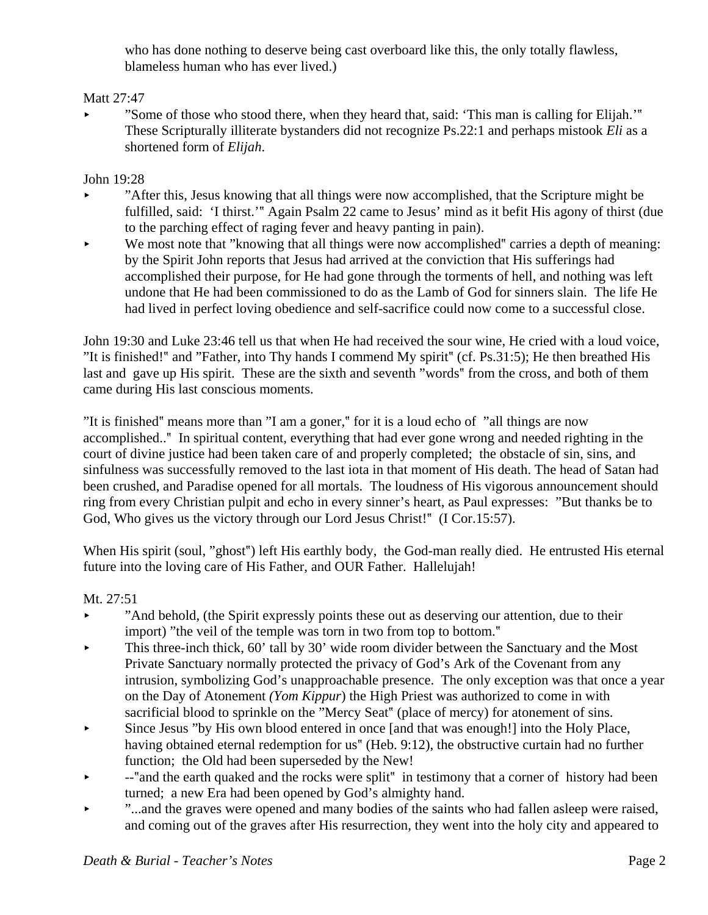who has done nothing to deserve being cast overboard like this, the only totally flawless, blameless human who has ever lived.)

#### Matt 27:47

"Some of those who stood there, when they heard that, said: 'This man is calling for Elijah.'" These Scripturally illiterate bystanders did not recognize Ps.22:1 and perhaps mistook *Eli* as a shortened form of *Elijah*.

John 19:28

- < "After this, Jesus knowing that all things were now accomplished, that the Scripture might be fulfilled, said: 'I thirst.'" Again Psalm 22 came to Jesus' mind as it befit His agony of thirst (due to the parching effect of raging fever and heavy panting in pain).
- $\blacktriangleright$  We most note that "knowing that all things were now accomplished" carries a depth of meaning: by the Spirit John reports that Jesus had arrived at the conviction that His sufferings had accomplished their purpose, for He had gone through the torments of hell, and nothing was left undone that He had been commissioned to do as the Lamb of God for sinners slain. The life He had lived in perfect loving obedience and self-sacrifice could now come to a successful close.

John 19:30 and Luke 23:46 tell us that when He had received the sour wine, He cried with a loud voice, "It is finished!? and "Father, into Thy hands I commend My spirit? (cf. Ps.31:5); He then breathed His last and gave up His spirit. These are the sixth and seventh "words" from the cross, and both of them came during His last conscious moments.

"It is finished" means more than "I am a goner," for it is a loud echo of "all things are now accomplished..? In spiritual content, everything that had ever gone wrong and needed righting in the court of divine justice had been taken care of and properly completed; the obstacle of sin, sins, and sinfulness was successfully removed to the last iota in that moment of His death. The head of Satan had been crushed, and Paradise opened for all mortals. The loudness of His vigorous announcement should ring from every Christian pulpit and echo in every sinner's heart, as Paul expresses: "But thanks be to God, Who gives us the victory through our Lord Jesus Christ!" (I Cor.15:57).

When His spirit (soul, "ghost") left His earthly body, the God-man really died. He entrusted His eternal future into the loving care of His Father, and OUR Father. Hallelujah!

Mt. 27:51

- "And behold, (the Spirit expressly points these out as deserving our attention, due to their import) "the veil of the temple was torn in two from top to bottom."
- $\blacktriangleright$  This three-inch thick, 60' tall by 30' wide room divider between the Sanctuary and the Most Private Sanctuary normally protected the privacy of God's Ark of the Covenant from any intrusion, symbolizing God's unapproachable presence. The only exception was that once a year on the Day of Atonement *(Yom Kippur*) the High Priest was authorized to come in with sacrificial blood to sprinkle on the "Mercy Seat" (place of mercy) for atonement of sins.
- < Since Jesus "by His own blood entered in once [and that was enough!] into the Holy Place, having obtained eternal redemption for us" (Heb. 9:12), the obstructive curtain had no further function; the Old had been superseded by the New!
- $\blacktriangleright$  --"and the earth quaked and the rocks were split" in testimony that a corner of history had been turned; a new Era had been opened by God's almighty hand.
- "...and the graves were opened and many bodies of the saints who had fallen asleep were raised, and coming out of the graves after His resurrection, they went into the holy city and appeared to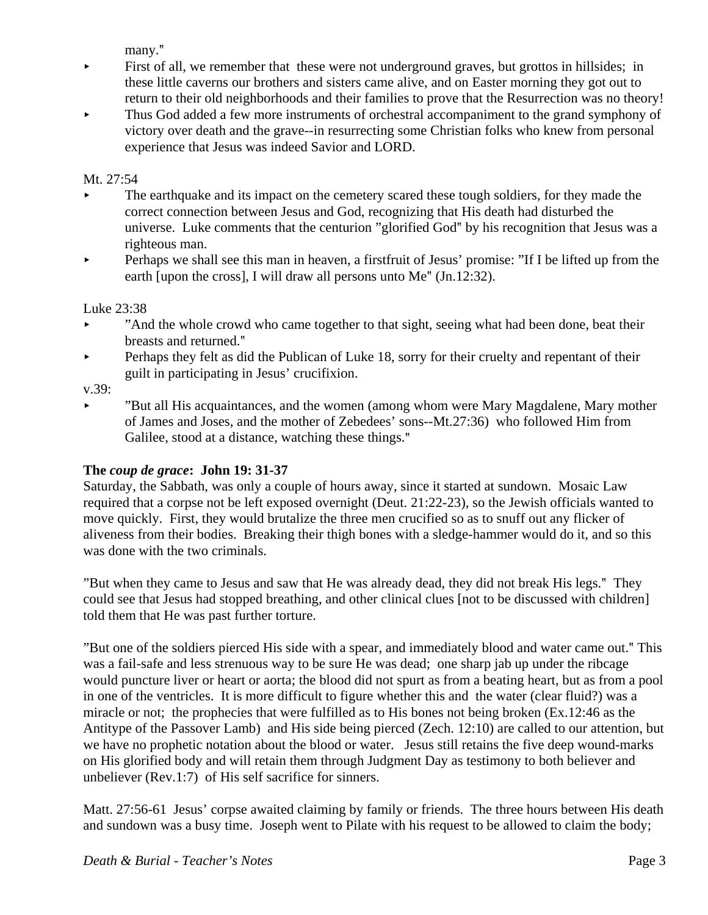many."

- $\blacktriangleright$  First of all, we remember that these were not underground graves, but grottos in hillsides; in these little caverns our brothers and sisters came alive, and on Easter morning they got out to return to their old neighborhoods and their families to prove that the Resurrection was no theory!
- Thus God added a few more instruments of orchestral accompaniment to the grand symphony of victory over death and the grave--in resurrecting some Christian folks who knew from personal experience that Jesus was indeed Savior and LORD.

#### Mt. 27:54

- < The earthquake and its impact on the cemetery scared these tough soldiers, for they made the correct connection between Jesus and God, recognizing that His death had disturbed the universe. Luke comments that the centurion "glorified God? by his recognition that Jesus was a righteous man.
- Perhaps we shall see this man in heaven, a first fruit of Jesus' promise: "If I be lifted up from the earth [upon the cross], I will draw all persons unto  $Me<sup>*</sup>$  (Jn.12:32).

#### Luke 23:38

- And the whole crowd who came together to that sight, seeing what had been done, beat their breasts and returned."
- $\blacktriangleright$  Perhaps they felt as did the Publican of Luke 18, sorry for their cruelty and repentant of their guilt in participating in Jesus' crucifixion.

v.39:

< "But all His acquaintances, and the women (among whom were Mary Magdalene, Mary mother of James and Joses, and the mother of Zebedees' sons--Mt.27:36) who followed Him from Galilee, stood at a distance, watching these things."

#### **The** *coup de grace***: John 19: 31-37**

Saturday, the Sabbath, was only a couple of hours away, since it started at sundown. Mosaic Law required that a corpse not be left exposed overnight (Deut. 21:22-23), so the Jewish officials wanted to move quickly. First, they would brutalize the three men crucified so as to snuff out any flicker of aliveness from their bodies. Breaking their thigh bones with a sledge-hammer would do it, and so this was done with the two criminals.

"But when they came to Jesus and saw that He was already dead, they did not break His legs.? They could see that Jesus had stopped breathing, and other clinical clues [not to be discussed with children] told them that He was past further torture.

"But one of the soldiers pierced His side with a spear, and immediately blood and water came out.? This was a fail-safe and less strenuous way to be sure He was dead; one sharp jab up under the ribcage would puncture liver or heart or aorta; the blood did not spurt as from a beating heart, but as from a pool in one of the ventricles. It is more difficult to figure whether this and the water (clear fluid?) was a miracle or not; the prophecies that were fulfilled as to His bones not being broken (Ex.12:46 as the Antitype of the Passover Lamb) and His side being pierced (Zech. 12:10) are called to our attention, but we have no prophetic notation about the blood or water. Jesus still retains the five deep wound-marks on His glorified body and will retain them through Judgment Day as testimony to both believer and unbeliever (Rev.1:7) of His self sacrifice for sinners.

Matt. 27:56-61 Jesus' corpse awaited claiming by family or friends. The three hours between His death and sundown was a busy time. Joseph went to Pilate with his request to be allowed to claim the body;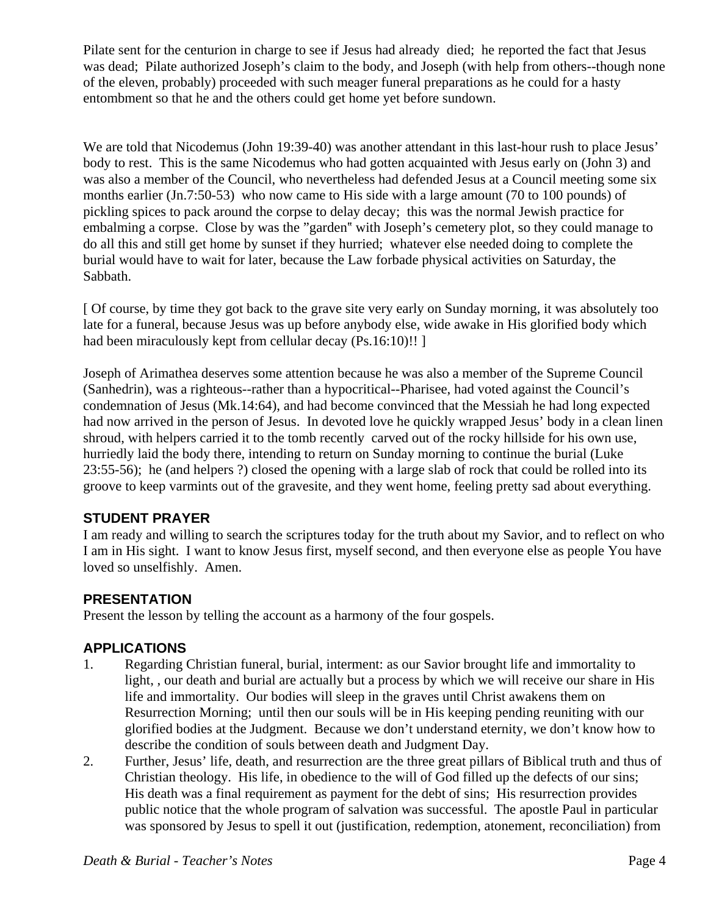Pilate sent for the centurion in charge to see if Jesus had already died; he reported the fact that Jesus was dead; Pilate authorized Joseph's claim to the body, and Joseph (with help from others--though none of the eleven, probably) proceeded with such meager funeral preparations as he could for a hasty entombment so that he and the others could get home yet before sundown.

We are told that Nicodemus (John 19:39-40) was another attendant in this last-hour rush to place Jesus' body to rest. This is the same Nicodemus who had gotten acquainted with Jesus early on (John 3) and was also a member of the Council, who nevertheless had defended Jesus at a Council meeting some six months earlier (Jn.7:50-53) who now came to His side with a large amount (70 to 100 pounds) of pickling spices to pack around the corpse to delay decay; this was the normal Jewish practice for embalming a corpse. Close by was the "garden" with Joseph's cemetery plot, so they could manage to do all this and still get home by sunset if they hurried; whatever else needed doing to complete the burial would have to wait for later, because the Law forbade physical activities on Saturday, the Sabbath.

[ Of course, by time they got back to the grave site very early on Sunday morning, it was absolutely too late for a funeral, because Jesus was up before anybody else, wide awake in His glorified body which had been miraculously kept from cellular decay (Ps.16:10)!! ]

Joseph of Arimathea deserves some attention because he was also a member of the Supreme Council (Sanhedrin), was a righteous--rather than a hypocritical--Pharisee, had voted against the Council's condemnation of Jesus (Mk.14:64), and had become convinced that the Messiah he had long expected had now arrived in the person of Jesus. In devoted love he quickly wrapped Jesus' body in a clean linen shroud, with helpers carried it to the tomb recently carved out of the rocky hillside for his own use, hurriedly laid the body there, intending to return on Sunday morning to continue the burial (Luke 23:55-56); he (and helpers ?) closed the opening with a large slab of rock that could be rolled into its groove to keep varmints out of the gravesite, and they went home, feeling pretty sad about everything.

#### **STUDENT PRAYER**

I am ready and willing to search the scriptures today for the truth about my Savior, and to reflect on who I am in His sight. I want to know Jesus first, myself second, and then everyone else as people You have loved so unselfishly. Amen.

#### **PRESENTATION**

Present the lesson by telling the account as a harmony of the four gospels.

#### **APPLICATIONS**

- 1. Regarding Christian funeral, burial, interment: as our Savior brought life and immortality to light, , our death and burial are actually but a process by which we will receive our share in His life and immortality. Our bodies will sleep in the graves until Christ awakens them on Resurrection Morning; until then our souls will be in His keeping pending reuniting with our glorified bodies at the Judgment. Because we don't understand eternity, we don't know how to describe the condition of souls between death and Judgment Day.
- 2. Further, Jesus' life, death, and resurrection are the three great pillars of Biblical truth and thus of Christian theology. His life, in obedience to the will of God filled up the defects of our sins; His death was a final requirement as payment for the debt of sins; His resurrection provides public notice that the whole program of salvation was successful. The apostle Paul in particular was sponsored by Jesus to spell it out (justification, redemption, atonement, reconciliation) from